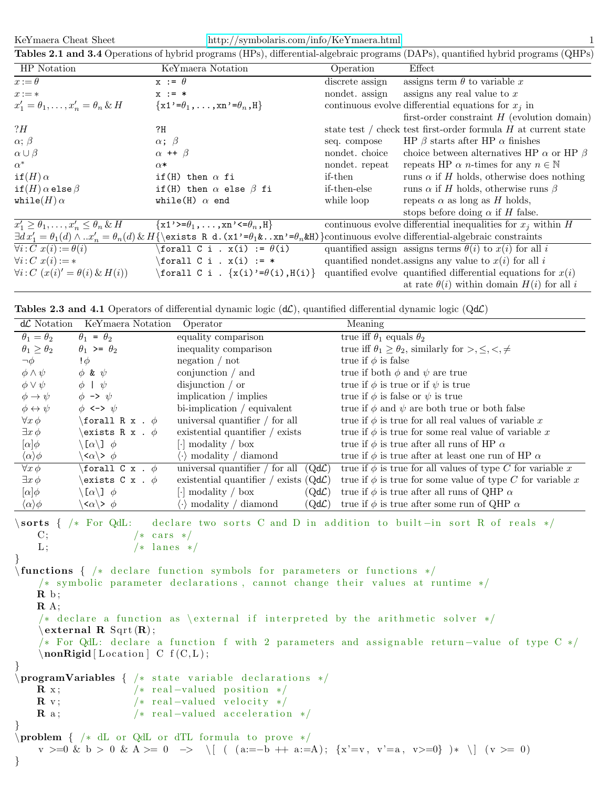| KeYmaera Cheat Sheet | $\frac{\text{http://symbolaris.com/info/KeYmaera.html}}{}$                                                                        |  |
|----------------------|-----------------------------------------------------------------------------------------------------------------------------------|--|
|                      | Tables 2.1 and 3.4 Operations of hybrid programs (HPs), differential-algebraic programs (DAPs), quantified hybrid programs (QHPs) |  |

| HP Notation                                            | KeYmaera Notation                                                                                                                                                                                 | Operation       | Effect                                                           |
|--------------------------------------------------------|---------------------------------------------------------------------------------------------------------------------------------------------------------------------------------------------------|-----------------|------------------------------------------------------------------|
| $x:=\theta$                                            | $x := \theta$                                                                                                                                                                                     | discrete assign | assigns term $\theta$ to variable x                              |
| $x := *$                                               | $x := *$                                                                                                                                                                                          | nondet. assign  | assigns any real value to $x$                                    |
| $x'_1 = \theta_1, \ldots, x'_n = \theta_n \& H$        | $\{x1'=\theta_1,\ldots,xn'=\theta_n,H\}$                                                                                                                                                          |                 | continuous evolve differential equations for $x_i$ in            |
|                                                        |                                                                                                                                                                                                   |                 | first-order constraint $H$ (evolution domain)                    |
| ?H                                                     | ?H                                                                                                                                                                                                |                 | state test / check test first-order formula $H$ at current state |
| $\alpha$ ; $\beta$                                     | $\alpha$ ; $\beta$                                                                                                                                                                                | seq. compose    | HP $\beta$ starts after HP $\alpha$ finishes                     |
| $\alpha \cup \beta$                                    | $\alpha$ ++ $\beta$                                                                                                                                                                               | nondet. choice  | choice between alternatives HP $\alpha$ or HP $\beta$            |
| $\alpha^*$                                             | $\alpha*$                                                                                                                                                                                         | nondet. repeat  | repeats HP $\alpha$ <i>n</i> -times for any $n \in \mathbb{N}$   |
| $if(H)\alpha$                                          | if(H) then $\alpha$ fi                                                                                                                                                                            | if-then         | runs $\alpha$ if $H$ holds, otherwise does nothing               |
| if $(H)$ $\alpha$ else $\beta$                         | if(H) then $\alpha$ else $\beta$ fi                                                                                                                                                               | if-then-else    | runs $\alpha$ if H holds, otherwise runs $\beta$                 |
| while $(H)$ $\alpha$                                   | while(H) $\alpha$ end                                                                                                                                                                             | while loop      | repeats $\alpha$ as long as H holds,                             |
|                                                        |                                                                                                                                                                                                   |                 | stops before doing $\alpha$ if H false.                          |
| $x'_1 \geq \theta_1, \ldots, x'_n \leq \theta_n \&\ H$ | $\{x1\prime\}=\theta_1,\ldots,xn\prime\leftarrow\theta_n,H\}$                                                                                                                                     |                 | continuous evolve differential inequalities for $x_i$ within H   |
|                                                        | $\exists d\,x_1' = \theta_1(d) \wedge \ldots x_n' = \theta_n(d) \& H\{\exists R \ d. (x1' = \theta_1 \& \ldots x^n = \theta_n \& R}\}\n\text{correlation of the original algebraic constraints.}$ |                 |                                                                  |
| $\forall i: C \ x(i) := \theta(i)$                     | \forall C i . $x(i) := \theta(i)$                                                                                                                                                                 |                 | quantified assign assigns terms $\theta(i)$ to $x(i)$ for all i  |
| $\forall i: C \ x(i) := *$                             | \forall C i . $x(i) := *$                                                                                                                                                                         |                 | quantified nondet. assigns any value to $x(i)$ for all i         |
| $\forall i: C \ (x(i)' = \theta(i) \& H(i))$           | \forall C i . $\{x(i)\}'=\theta(i), H(i)\}$                                                                                                                                                       |                 | quantified evolve quantified differential equations for $x(i)$   |
|                                                        |                                                                                                                                                                                                   |                 | at rate $\theta(i)$ within domain $H(i)$ for all i               |

Tables 2.3 and 4.1 Operators of differential dynamic logic  $(d\mathcal{L})$ , quantified differential dynamic logic  $(Qd\mathcal{L})$ 

| $d\mathcal{L}$ Notation                                                                                                                                                                                                                                         | KeYmaera Notation                                              | Operator                                                                             | Meaning                                                                |  |  |
|-----------------------------------------------------------------------------------------------------------------------------------------------------------------------------------------------------------------------------------------------------------------|----------------------------------------------------------------|--------------------------------------------------------------------------------------|------------------------------------------------------------------------|--|--|
| $\theta_1=\theta_2$                                                                                                                                                                                                                                             | $\theta_1 = \theta_2$                                          | equality comparison                                                                  | true iff $\theta_1$ equals $\theta_2$                                  |  |  |
| $\theta_1 \geq \theta_2$                                                                                                                                                                                                                                        | $\theta_1$ >= $\theta_2$                                       | inequality comparison                                                                | true iff $\theta_1 \ge \theta_2$ , similarly for $>,\le,<,\neq$        |  |  |
| $\neg \phi$                                                                                                                                                                                                                                                     | $\phi$                                                         | negation $/$ not                                                                     | true if $\phi$ is false                                                |  |  |
| $\phi \wedge \psi$                                                                                                                                                                                                                                              | $\phi$ & $\psi$                                                | conjunction $/$ and                                                                  | true if both $\phi$ and $\psi$ are true                                |  |  |
| $\phi \vee \psi$                                                                                                                                                                                                                                                | $\phi$   $\psi$                                                | disjunction $\prime$ or                                                              | true if $\phi$ is true or if $\psi$ is true                            |  |  |
| $\phi \rightarrow \psi$                                                                                                                                                                                                                                         | $\phi \rightarrow \psi$                                        | implication $/$ implies                                                              | true if $\phi$ is false or $\psi$ is true                              |  |  |
| $\phi \leftrightarrow \psi$                                                                                                                                                                                                                                     | $\phi \iff \psi$                                               | $bi$ -implication / equivalent                                                       | true if $\phi$ and $\psi$ are both true or both false                  |  |  |
| $\forall x \phi$                                                                                                                                                                                                                                                | \forall R x . $\phi$                                           | universal quantifier $/$ for all                                                     | true if $\phi$ is true for all real values of variable x               |  |  |
| $\exists x \phi$                                                                                                                                                                                                                                                | \exists R x . $\phi$                                           | existential quantifier $/$ exists                                                    | true if $\phi$ is true for some real value of variable x               |  |  |
| $[\alpha]\phi$                                                                                                                                                                                                                                                  | $\langle \lbrack \alpha \rangle \rbrack$ $\phi$                | $\lceil \cdot \rceil$ modality / box                                                 | true if $\phi$ is true after all runs of HP $\alpha$                   |  |  |
| $\langle \alpha \rangle \phi$                                                                                                                                                                                                                                   | $\langle \langle \alpha \rangle \rangle$ $\phi$                | $\langle \cdot \rangle$ modality / diamond                                           | true if $\phi$ is true after at least one run of HP $\alpha$           |  |  |
| $\forall x \phi$                                                                                                                                                                                                                                                | \forall C x . $\phi$                                           | universal quantifier / for all $(Qd\mathcal{L})$                                     | true if $\phi$ is true for all values of type C for variable x         |  |  |
| $\exists x \phi$                                                                                                                                                                                                                                                | \exists C x . $\phi$                                           | existential quantifier / exists $(Qd\mathcal{L})$                                    | true if $\phi$ is true for some value of type C for variable x         |  |  |
| $[\alpha]\phi$                                                                                                                                                                                                                                                  | $\langle \lbrack \alpha \rangle \rbrack$ $\phi$                | $\lceil \cdot \rceil$ modality / box<br>$\left( \mathrm{Qd}\mathcal{L}\right)$       | true if $\phi$ is true after all runs of QHP $\alpha$                  |  |  |
| $\langle \alpha \rangle \phi$                                                                                                                                                                                                                                   | $\langle \alpha \rangle$ > $\phi$                              | $\langle \cdot \rangle$ modality / diamond<br>$\left( \text{Qd} \mathcal{L} \right)$ | true if $\phi$ is true after some run of QHP $\alpha$                  |  |  |
| $\rm C;$<br>L:                                                                                                                                                                                                                                                  | $\s{$ sorts { /* For QdL:<br>$/*$ cars $*/$<br>$/*$ lanes $*/$ |                                                                                      | declare two sorts C and D in addition to built-in sort R of reals $*/$ |  |  |
| $\{\$ { \ast \} declare function symbols for parameters or functions $\ast$<br>/* symbolic parameter declarations, cannot change their values at runtime $*/$<br>$\mathbf{R}$ b;<br>$\mathbf{R}$ A;                                                             |                                                                |                                                                                      |                                                                        |  |  |
|                                                                                                                                                                                                                                                                 |                                                                |                                                                                      |                                                                        |  |  |
| /* declare a function as \external if interpreted by the arithmetic solver $*/$<br>external $\bf R$ Sqrt $(\bf R)$ ;<br>/* For QdL: declare a function f with 2 parameters and assignable return-value of type C */<br>$\mathbf{nonRigid}$ [Location] C f(C,L); |                                                                |                                                                                      |                                                                        |  |  |
|                                                                                                                                                                                                                                                                 |                                                                |                                                                                      |                                                                        |  |  |
|                                                                                                                                                                                                                                                                 |                                                                | $\preceq$ \programVariables { /* state variable declarations */                      |                                                                        |  |  |
| $\mathbf{R}$ x;                                                                                                                                                                                                                                                 |                                                                | $/*$ real-valued position $*/$                                                       |                                                                        |  |  |
| $\mathbf{R}$ v;                                                                                                                                                                                                                                                 |                                                                | $/*$ real-valued velocity $*/$                                                       |                                                                        |  |  |
| $\mathbf{R}$ a;                                                                                                                                                                                                                                                 |                                                                | $/*$ real-valued acceleration $*/$                                                   |                                                                        |  |  |
|                                                                                                                                                                                                                                                                 |                                                                |                                                                                      |                                                                        |  |  |
| \problem { /* dL or QdL or dTL formula to prove $*/$<br>$v \geq 0$ & $b > 0$ & $A \geq 0$ $\implies$ $\begin{cases} (a := -b + a := A); \\ (x' = v, v' = a, v > 0) \end{cases}$ $(*)$ $(y \geq 0)$<br>$\}$                                                      |                                                                |                                                                                      |                                                                        |  |  |